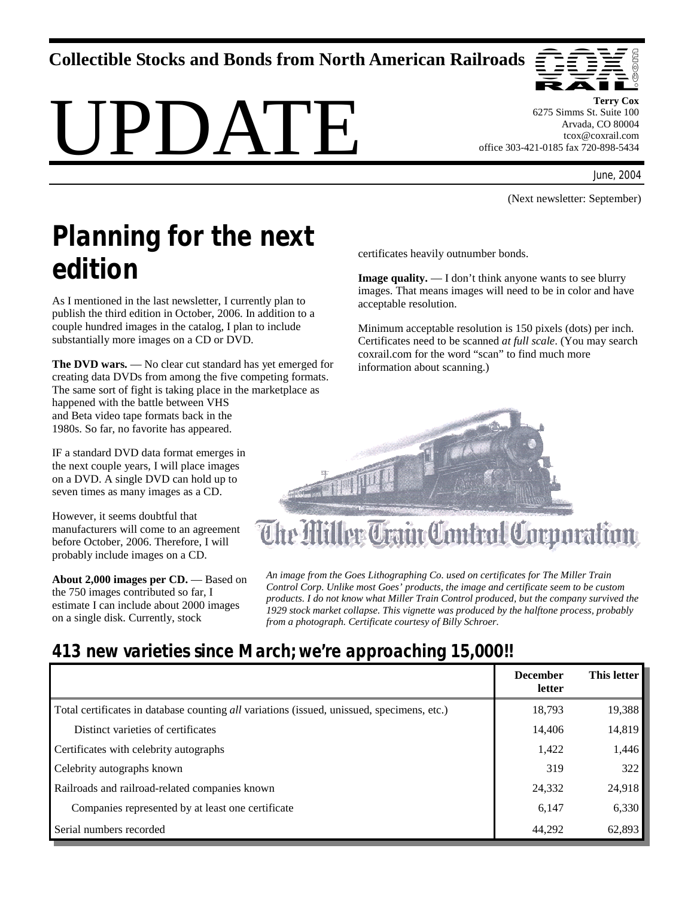**Collectible Stocks and Bonds from North American Railroads** 

# PI)ATE



**Terry Cox**  6275 Simms St. Suite 100 Arvada, CO 80004 tcox@coxrail.com office 303-421-0185 fax 720-898-5434

June, 2004

(Next newsletter: September)

# *Planning for the next edition*

As I mentioned in the last newsletter, I currently plan to publish the third edition in October, 2006. In addition to a couple hundred images in the catalog, I plan to include substantially more images on a CD or DVD.

**The DVD wars.** — No clear cut standard has yet emerged for creating data DVDs from among the five competing formats. The same sort of fight is taking place in the marketplace as happened with the battle between VHS and Beta video tape formats back in the 1980s. So far, no favorite has appeared.

IF a standard DVD data format emerges in the next couple years, I will place images on a DVD. A single DVD can hold up to seven times as many images as a CD.

However, it seems doubtful that manufacturers will come to an agreement before October, 2006. Therefore, I will probably include images on a CD.

**About 2,000 images per CD.** — Based on the 750 images contributed so far, I estimate I can include about 2000 images on a single disk. Currently, stock

certificates heavily outnumber bonds.

**Image quality.** — I don't think anyone wants to see blurry images. That means images will need to be in color and have acceptable resolution.

Minimum acceptable resolution is 150 pixels (dots) per inch. Certificates need to be scanned *at full scale*. (You may search coxrail.com for the word "scan" to find much more information about scanning.)



*An image from the Goes Lithographing Co. used on certificates for The Miller Train Control Corp. Unlike most Goes' products, the image and certificate seem to be custom products. I do not know what Miller Train Control produced, but the company survived the 1929 stock market collapse. This vignette was produced by the halftone process, probably from a photograph. Certificate courtesy of Billy Schroer.* 

## *413 new varieties since March; we're approaching 15,000!!*

|                                                                                            | <b>December</b><br>letter | This letter |
|--------------------------------------------------------------------------------------------|---------------------------|-------------|
| Total certificates in database counting all variations (issued, unissued, specimens, etc.) | 18,793                    | 19,388      |
| Distinct varieties of certificates                                                         | 14,406                    | 14,819      |
| Certificates with celebrity autographs                                                     | 1,422                     | 1,446       |
| Celebrity autographs known                                                                 | 319                       | 322         |
| Railroads and railroad-related companies known                                             | 24,332                    | 24,918      |
| Companies represented by at least one certificate                                          | 6,147                     | 6,330       |
| Serial numbers recorded                                                                    | 44,292                    | 62,893      |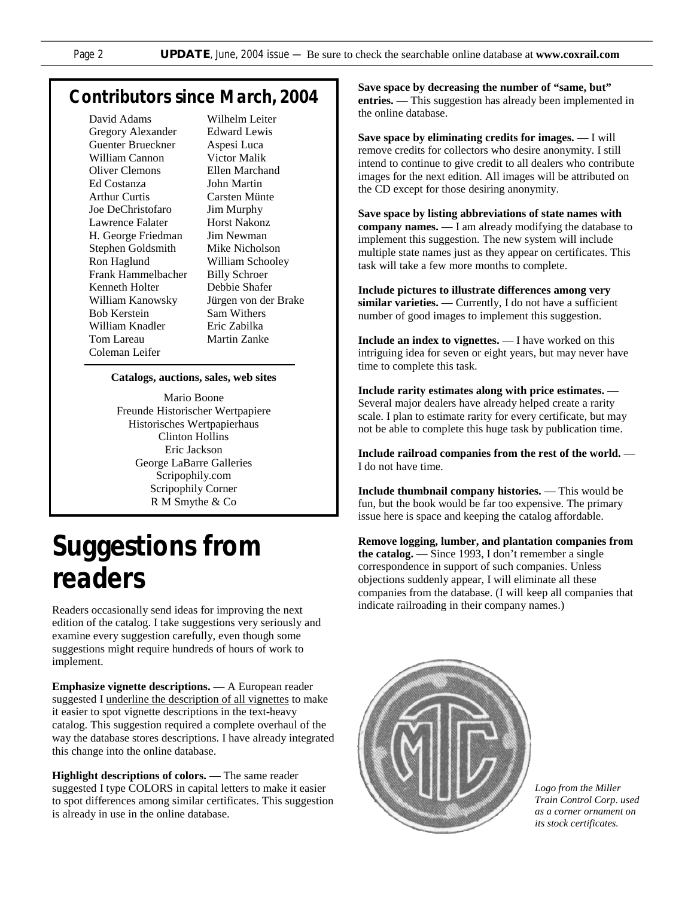## *Contributors since March, 2004*

David Adams Gregory Alexander Guenter Brueckner William Cannon Oliver Clemons Ed Costanza Arthur Curtis Joe DeChristofaro Lawrence Falater H. George Friedman Stephen Goldsmith Ron Haglund Frank Hammelbacher Kenneth Holter William Kanowsky Bob Kerstein William Knadler Tom Lareau Coleman Leifer

Wilhelm Leiter Edward Lewis Aspesi Luca Victor Malik Ellen Marchand John Martin Carsten Münte Jim Murphy Horst Nakonz Jim Newman Mike Nicholson William Schooley Billy Schroer Debbie Shafer Jürgen von der Brake Sam Withers Eric Zabilka Martin Zanke

#### **Catalogs, auctions, sales, web sites**

Mario Boone Freunde Historischer Wertpapiere Historisches Wertpapierhaus Clinton Hollins Eric Jackson George LaBarre Galleries Scripophily.com Scripophily Corner R M Smythe & Co

## *Suggestions from readers*

Readers occasionally send ideas for improving the next edition of the catalog. I take suggestions very seriously and examine every suggestion carefully, even though some suggestions might require hundreds of hours of work to implement.

**Emphasize vignette descriptions.** — A European reader suggested I underline the description of all vignettes to make it easier to spot vignette descriptions in the text-heavy catalog. This suggestion required a complete overhaul of the way the database stores descriptions. I have already integrated this change into the online database.

**Highlight descriptions of colors.** — The same reader suggested I type COLORS in capital letters to make it easier to spot differences among similar certificates. This suggestion is already in use in the online database.

**Save space by decreasing the number of "same, but" entries.** — This suggestion has already been implemented in the online database.

**Save space by eliminating credits for images.** — I will remove credits for collectors who desire anonymity. I still intend to continue to give credit to all dealers who contribute images for the next edition. All images will be attributed on the CD except for those desiring anonymity.

**Save space by listing abbreviations of state names with company names.** — I am already modifying the database to implement this suggestion. The new system will include multiple state names just as they appear on certificates. This task will take a few more months to complete.

**Include pictures to illustrate differences among very similar varieties.** — Currently, I do not have a sufficient number of good images to implement this suggestion.

**Include an index to vignettes.** — I have worked on this intriguing idea for seven or eight years, but may never have time to complete this task.

**Include rarity estimates along with price estimates.** — Several major dealers have already helped create a rarity scale. I plan to estimate rarity for every certificate, but may not be able to complete this huge task by publication time.

**Include railroad companies from the rest of the world.** — I do not have time.

**Include thumbnail company histories.** — This would be fun, but the book would be far too expensive. The primary issue here is space and keeping the catalog affordable.

**Remove logging, lumber, and plantation companies from the catalog.** — Since 1993, I don't remember a single correspondence in support of such companies. Unless objections suddenly appear, I will eliminate all these companies from the database. (I will keep all companies that indicate railroading in their company names.)



*Logo from the Miller Train Control Corp. used as a corner ornament on its stock certificates.*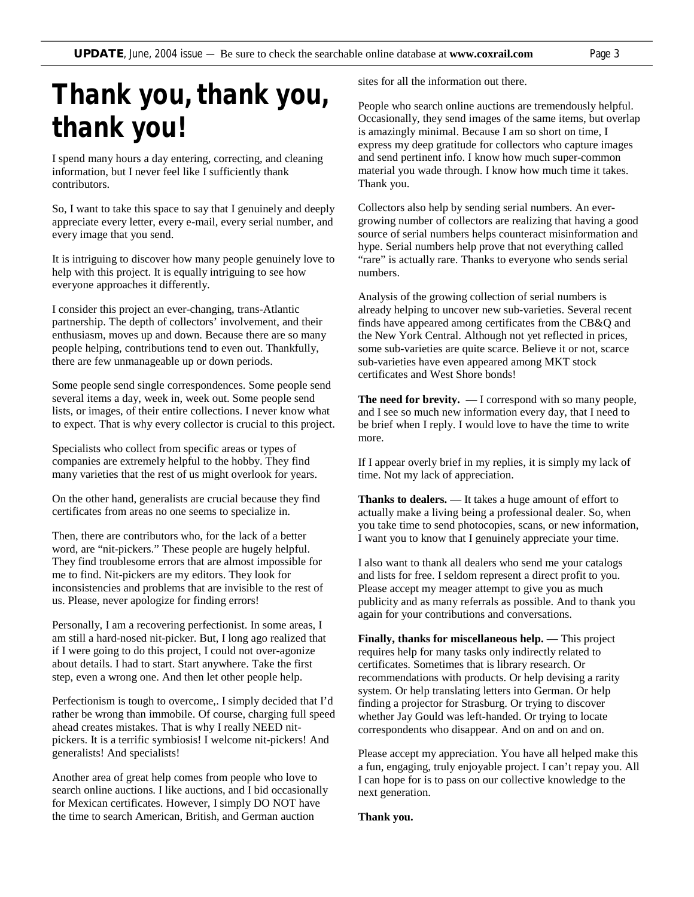# *Thank you, thank you, thank you!*

I spend many hours a day entering, correcting, and cleaning information, but I never feel like I sufficiently thank contributors.

So, I want to take this space to say that I genuinely and deeply appreciate every letter, every e-mail, every serial number, and every image that you send.

It is intriguing to discover how many people genuinely love to help with this project. It is equally intriguing to see how everyone approaches it differently.

I consider this project an ever-changing, trans-Atlantic partnership. The depth of collectors' involvement, and their enthusiasm, moves up and down. Because there are so many people helping, contributions tend to even out. Thankfully, there are few unmanageable up or down periods.

Some people send single correspondences. Some people send several items a day, week in, week out. Some people send lists, or images, of their entire collections. I never know what to expect. That is why every collector is crucial to this project.

Specialists who collect from specific areas or types of companies are extremely helpful to the hobby. They find many varieties that the rest of us might overlook for years.

On the other hand, generalists are crucial because they find certificates from areas no one seems to specialize in.

Then, there are contributors who, for the lack of a better word, are "nit-pickers." These people are hugely helpful. They find troublesome errors that are almost impossible for me to find. Nit-pickers are my editors. They look for inconsistencies and problems that are invisible to the rest of us. Please, never apologize for finding errors!

Personally, I am a recovering perfectionist. In some areas, I am still a hard-nosed nit-picker. But, I long ago realized that if I were going to do this project, I could not over-agonize about details. I had to start. Start anywhere. Take the first step, even a wrong one. And then let other people help.

Perfectionism is tough to overcome,. I simply decided that I'd rather be wrong than immobile. Of course, charging full speed ahead creates mistakes. That is why I really NEED nitpickers. It is a terrific symbiosis! I welcome nit-pickers! And generalists! And specialists!

Another area of great help comes from people who love to search online auctions. I like auctions, and I bid occasionally for Mexican certificates. However, I simply DO NOT have the time to search American, British, and German auction

sites for all the information out there.

People who search online auctions are tremendously helpful. Occasionally, they send images of the same items, but overlap is amazingly minimal. Because I am so short on time, I express my deep gratitude for collectors who capture images and send pertinent info. I know how much super-common material you wade through. I know how much time it takes. Thank you.

Collectors also help by sending serial numbers. An evergrowing number of collectors are realizing that having a good source of serial numbers helps counteract misinformation and hype. Serial numbers help prove that not everything called "rare" is actually rare. Thanks to everyone who sends serial numbers.

Analysis of the growing collection of serial numbers is already helping to uncover new sub-varieties. Several recent finds have appeared among certificates from the CB&Q and the New York Central. Although not yet reflected in prices, some sub-varieties are quite scarce. Believe it or not, scarce sub-varieties have even appeared among MKT stock certificates and West Shore bonds!

**The need for brevity.** — I correspond with so many people, and I see so much new information every day, that I need to be brief when I reply. I would love to have the time to write more.

If I appear overly brief in my replies, it is simply my lack of time. Not my lack of appreciation.

**Thanks to dealers.** — It takes a huge amount of effort to actually make a living being a professional dealer. So, when you take time to send photocopies, scans, or new information, I want you to know that I genuinely appreciate your time.

I also want to thank all dealers who send me your catalogs and lists for free. I seldom represent a direct profit to you. Please accept my meager attempt to give you as much publicity and as many referrals as possible. And to thank you again for your contributions and conversations.

**Finally, thanks for miscellaneous help.** — This project requires help for many tasks only indirectly related to certificates. Sometimes that is library research. Or recommendations with products. Or help devising a rarity system. Or help translating letters into German. Or help finding a projector for Strasburg. Or trying to discover whether Jay Gould was left-handed. Or trying to locate correspondents who disappear. And on and on and on.

Please accept my appreciation. You have all helped make this a fun, engaging, truly enjoyable project. I can't repay you. All I can hope for is to pass on our collective knowledge to the next generation.

**Thank you.**